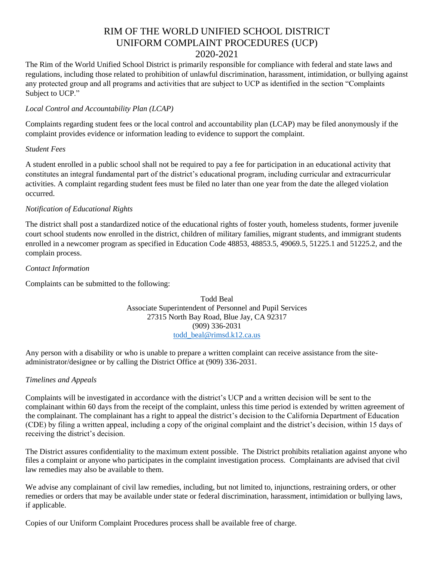# RIM OF THE WORLD UNIFIED SCHOOL DISTRICT UNIFORM COMPLAINT PROCEDURES (UCP)

### 2020-2021

The Rim of the World Unified School District is primarily responsible for compliance with federal and state laws and regulations, including those related to prohibition of unlawful discrimination, harassment, intimidation, or bullying against any protected group and all programs and activities that are subject to UCP as identified in the section "Complaints Subject to UCP."

#### *Local Control and Accountability Plan (LCAP)*

Complaints regarding student fees or the local control and accountability plan (LCAP) may be filed anonymously if the complaint provides evidence or information leading to evidence to support the complaint.

#### *Student Fees*

A student enrolled in a public school shall not be required to pay a fee for participation in an educational activity that constitutes an integral fundamental part of the district's educational program, including curricular and extracurricular activities. A complaint regarding student fees must be filed no later than one year from the date the alleged violation occurred.

#### *Notification of Educational Rights*

The district shall post a standardized notice of the educational rights of foster youth, homeless students, former juvenile court school students now enrolled in the district, children of military families, migrant students, and immigrant students enrolled in a newcomer program as specified in Education Code 48853, 48853.5, 49069.5, 51225.1 and 51225.2, and the complain process.

#### *Contact Information*

Complaints can be submitted to the following:

Todd Beal Associate Superintendent of Personnel and Pupil Services 27315 North Bay Road, Blue Jay, CA 92317 (909) 336-2031 [todd\\_beal@rimsd.k12.ca.us](mailto:todd_beal@rimsd.k12.ca.us)

Any person with a disability or who is unable to prepare a written complaint can receive assistance from the siteadministrator/designee or by calling the District Office at (909) 336-2031.

#### *Timelines and Appeals*

Complaints will be investigated in accordance with the district's UCP and a written decision will be sent to the complainant within 60 days from the receipt of the complaint, unless this time period is extended by written agreement of the complainant. The complainant has a right to appeal the district's decision to the California Department of Education (CDE) by filing a written appeal, including a copy of the original complaint and the district's decision, within 15 days of receiving the district's decision.

The District assures confidentiality to the maximum extent possible. The District prohibits retaliation against anyone who files a complaint or anyone who participates in the complaint investigation process. Complainants are advised that civil law remedies may also be available to them.

We advise any complainant of civil law remedies, including, but not limited to, injunctions, restraining orders, or other remedies or orders that may be available under state or federal discrimination, harassment, intimidation or bullying laws, if applicable.

Copies of our Uniform Complaint Procedures process shall be available free of charge.